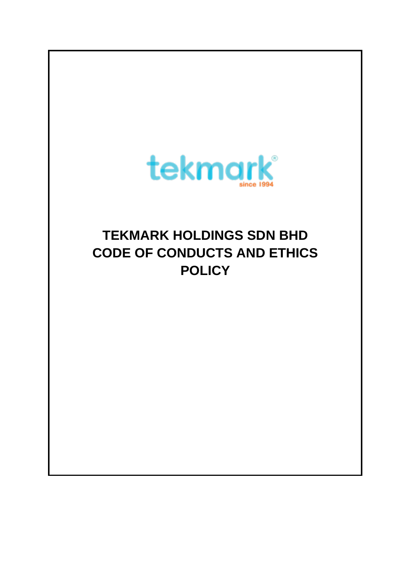

# **TEKMARK HOLDINGS SDN BHD CODE OF CONDUCTS AND ETHICS POLICY**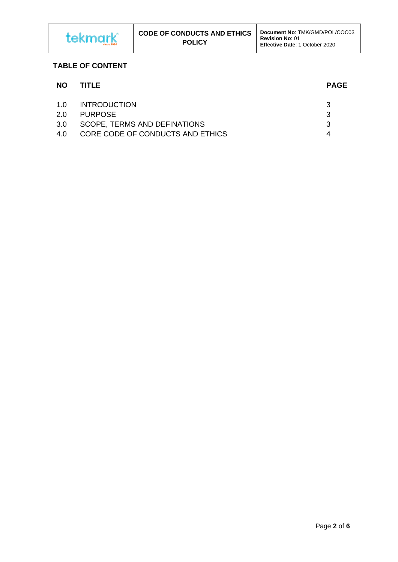

## **TABLE OF CONTENT**

| <b>NO</b> | TITLE                            | <b>PAGE</b> |
|-----------|----------------------------------|-------------|
| 1.O       | <b>INTRODUCTION</b>              | 3           |
| 20        | <b>PURPOSE</b>                   | 3           |
| 3.0       | SCOPE, TERMS AND DEFINATIONS     | 3           |
| 4 O       | CORE CODE OF CONDUCTS AND ETHICS |             |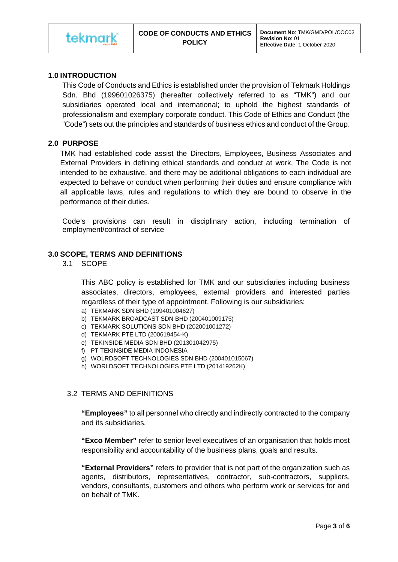## **1.0 INTRODUCTION**

This Code of Conducts and Ethics is established under the provision of Tekmark Holdings Sdn. Bhd (199601026375) (hereafter collectively referred to as "TMK") and our subsidiaries operated local and international; to uphold the highest standards of professionalism and exemplary corporate conduct. This Code of Ethics and Conduct (the "Code") sets out the principles and standards of business ethics and conduct of the Group.

## **2.0 PURPOSE**

TMK had established code assist the Directors, Employees, Business Associates and External Providers in defining ethical standards and conduct at work. The Code is not intended to be exhaustive, and there may be additional obligations to each individual are expected to behave or conduct when performing their duties and ensure compliance with all applicable laws, rules and regulations to which they are bound to observe in the performance of their duties.

Code's provisions can result in disciplinary action, including termination of employment/contract of service

## **3.0 SCOPE, TERMS AND DEFINITIONS**

3.1 SCOPE

This ABC policy is established for TMK and our subsidiaries including business associates, directors, employees, external providers and interested parties regardless of their type of appointment. Following is our subsidiaries:

- a) TEKMARK SDN BHD (199401004627)
- b) TEKMARK BROADCAST SDN BHD (200401009175)
- c) TEKMARK SOLUTIONS SDN BHD (202001001272)
- d) TEKMARK PTE LTD (200619454-K)
- e) TEKINSIDE MEDIA SDN BHD (201301042975)
- f) PT TEKINSIDE MEDIA INDONESIA
- g) WOLRDSOFT TECHNOLOGIES SDN BHD (200401015067)
- h) WORLDSOFT TECHNOLOGIES PTE LTD (201419262K)

## 3.2 TERMS AND DEFINITIONS

**"Employees"** to all personnel who directly and indirectly contracted to the company and its subsidiaries.

**"Exco Member"** refer to senior level executives of an organisation that holds most responsibility and accountability of the business plans, goals and results.

**"External Providers"** refers to provider that is not part of the organization such as agents, distributors, representatives, contractor, sub-contractors, suppliers, vendors, consultants, customers and others who perform work or services for and on behalf of TMK.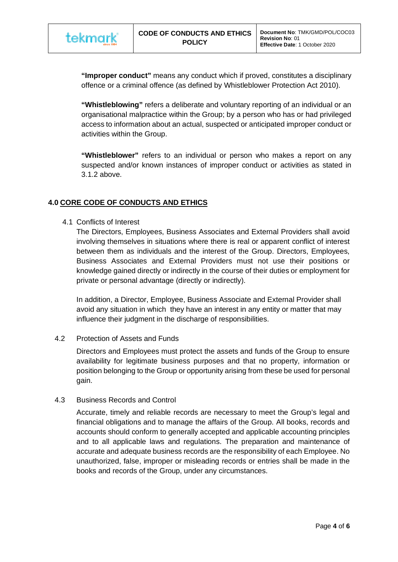**"Improper conduct"** means any conduct which if proved, constitutes a disciplinary offence or a criminal offence (as defined by Whistleblower Protection Act 2010).

**"Whistleblowing"** refers a deliberate and voluntary reporting of an individual or an organisational malpractice within the Group; by a person who has or had privileged access to information about an actual, suspected or anticipated improper conduct or activities within the Group.

**"Whistleblower"** refers to an individual or person who makes a report on any suspected and/or known instances of improper conduct or activities as stated in 3.1.2 above.

# **4.0 CORE CODE OF CONDUCTS AND ETHICS**

4.1 Conflicts of Interest

The Directors, Employees, Business Associates and External Providers shall avoid involving themselves in situations where there is real or apparent conflict of interest between them as individuals and the interest of the Group. Directors, Employees, Business Associates and External Providers must not use their positions or knowledge gained directly or indirectly in the course of their duties or employment for private or personal advantage (directly or indirectly).

In addition, a Director, Employee, Business Associate and External Provider shall avoid any situation in which they have an interest in any entity or matter that may influence their judgment in the discharge of responsibilities.

## 4.2 Protection of Assets and Funds

Directors and Employees must protect the assets and funds of the Group to ensure availability for legitimate business purposes and that no property, information or position belonging to the Group or opportunity arising from these be used for personal gain.

## 4.3 Business Records and Control

Accurate, timely and reliable records are necessary to meet the Group's legal and financial obligations and to manage the affairs of the Group. All books, records and accounts should conform to generally accepted and applicable accounting principles and to all applicable laws and regulations. The preparation and maintenance of accurate and adequate business records are the responsibility of each Employee. No unauthorized, false, improper or misleading records or entries shall be made in the books and records of the Group, under any circumstances.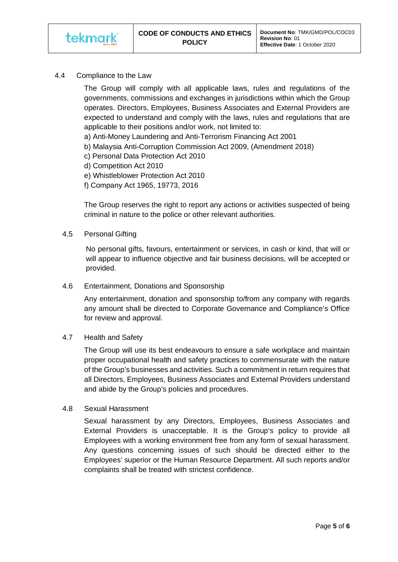4.4 Compliance to the Law

The Group will comply with all applicable laws, rules and regulations of the governments, commissions and exchanges in jurisdictions within which the Group operates. Directors, Employees, Business Associates and External Providers are expected to understand and comply with the laws, rules and regulations that are applicable to their positions and/or work, not limited to:

- a) Anti-Money Laundering and Anti-Terrorism Financing Act 2001
- b) Malaysia Anti-Corruption Commission Act 2009, (Amendment 2018)
- c) Personal Data Protection Act 2010
- d) Competition Act 2010
- e) Whistleblower Protection Act 2010
- f) Company Act 1965, 19773, 2016

The Group reserves the right to report any actions or activities suspected of being criminal in nature to the police or other relevant authorities.

4.5 Personal Gifting

No personal gifts, favours, entertainment or services, in cash or kind, that will or will appear to influence objective and fair business decisions, will be accepted or provided.

4.6 Entertainment, Donations and Sponsorship

Any entertainment, donation and sponsorship to/from any company with regards any amount shall be directed to Corporate Governance and Compliance's Office for review and approval.

## 4.7 Health and Safety

The Group will use its best endeavours to ensure a safe workplace and maintain proper occupational health and safety practices to commensurate with the nature of the Group's businesses and activities. Such a commitment in return requires that all Directors, Employees, Business Associates and External Providers understand and abide by the Group's policies and procedures.

#### 4.8 Sexual Harassment

Sexual harassment by any Directors, Employees, Business Associates and External Providers is unacceptable. It is the Group's policy to provide all Employees with a working environment free from any form of sexual harassment. Any questions concerning issues of such should be directed either to the Employees' superior or the Human Resource Department. All such reports and/or complaints shall be treated with strictest confidence.